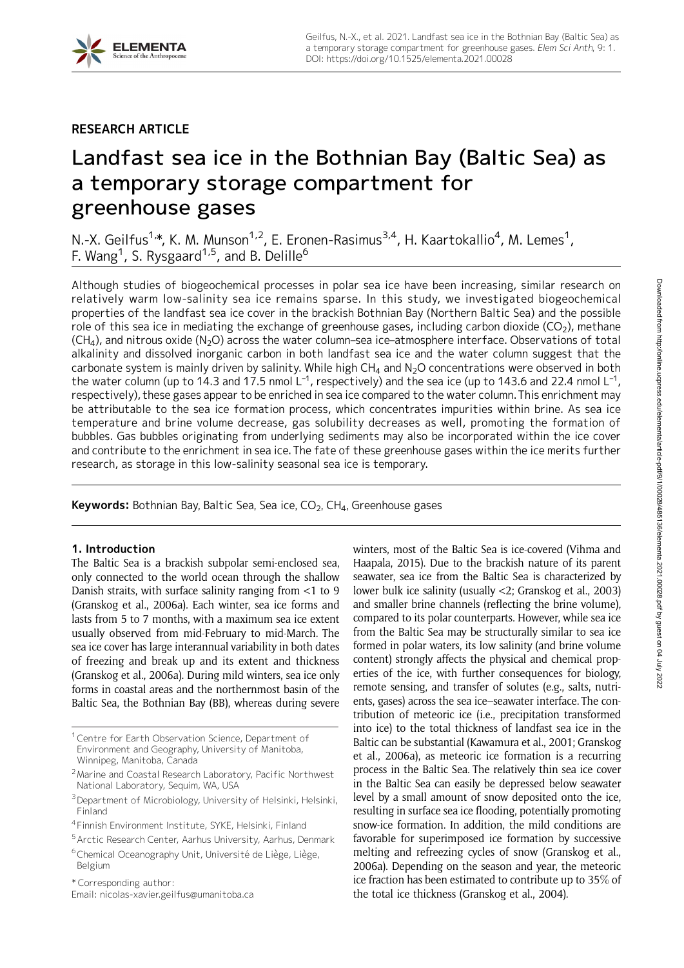# RESEARCH ARTICLE

# Landfast sea ice in the Bothnian Bay (Baltic Sea) as a temporary storage compartment for greenhouse gases

N.-X. Geilfus<sup>1,</sup>\*, K. M. Munson<sup>1,2</sup>, E. Eronen-Rasimus<sup>3,4</sup>, H. Kaartokallio<sup>4</sup>, M. Lemes<sup>1</sup>, F. Wang $^1$ , S. Rysgaard $^{1,5}$ , and B. Delille $^6$ 

Although studies of biogeochemical processes in polar sea ice have been increasing, similar research on relatively warm low-salinity sea ice remains sparse. In this study, we investigated biogeochemical properties of the landfast sea ice cover in the brackish Bothnian Bay (Northern Baltic Sea) and the possible role of this sea ice in mediating the exchange of greenhouse gases, including carbon dioxide (CO<sub>2</sub>), methane  $(CH<sub>4</sub>)$ , and nitrous oxide  $(N<sub>2</sub>O)$  across the water column–sea ice–atmosphere interface. Observations of total alkalinity and dissolved inorganic carbon in both landfast sea ice and the water column suggest that the carbonate system is mainly driven by salinity. While high  $CH_4$  and  $N_2O$  concentrations were observed in both the water column (up to 14.3 and 17.5 nmol  $L^{-1}$ , respectively) and the sea ice (up to 143.6 and 22.4 nmol  $L^{-1}$ , respectively), these gases appear to be enriched in sea ice compared to the water column. This enrichment may be attributable to the sea ice formation process, which concentrates impurities within brine. As sea ice temperature and brine volume decrease, gas solubility decreases as well, promoting the formation of bubbles. Gas bubbles originating from underlying sediments may also be incorporated within the ice cover and contribute to the enrichment in sea ice.The fate of these greenhouse gases within the ice merits further research, as storage in this low-salinity seasonal sea ice is temporary.

**Keywords:** Bothnian Bay, Baltic Sea, Sea ice,  $CO<sub>2</sub>$ , CH<sub>4</sub>, Greenhouse gases

# 1. Introduction

The Baltic Sea is a brackish subpolar semi-enclosed sea, only connected to the world ocean through the shallow Danish straits, with surface salinity ranging from <1 to 9 (Granskog et al., 2006a). Each winter, sea ice forms and lasts from 5 to 7 months, with a maximum sea ice extent usually observed from mid-February to mid-March. The sea ice cover has large interannual variability in both dates of freezing and break up and its extent and thickness (Granskog et al., 2006a). During mild winters, sea ice only forms in coastal areas and the northernmost basin of the Baltic Sea, the Bothnian Bay (BB), whereas during severe

winters, most of the Baltic Sea is ice-covered (Vihma and Haapala, 2015). Due to the brackish nature of its parent seawater, sea ice from the Baltic Sea is characterized by lower bulk ice salinity (usually <2; Granskog et al., 2003) and smaller brine channels (reflecting the brine volume), compared to its polar counterparts. However, while sea ice from the Baltic Sea may be structurally similar to sea ice formed in polar waters, its low salinity (and brine volume content) strongly affects the physical and chemical properties of the ice, with further consequences for biology, remote sensing, and transfer of solutes (e.g., salts, nutrients, gases) across the sea ice–seawater interface. The contribution of meteoric ice (i.e., precipitation transformed into ice) to the total thickness of landfast sea ice in the Baltic can be substantial (Kawamura et al., 2001; Granskog et al., 2006a), as meteoric ice formation is a recurring process in the Baltic Sea. The relatively thin sea ice cover in the Baltic Sea can easily be depressed below seawater level by a small amount of snow deposited onto the ice, resulting in surface sea ice flooding, potentially promoting snow-ice formation. In addition, the mild conditions are favorable for superimposed ice formation by successive melting and refreezing cycles of snow (Granskog et al., 2006a). Depending on the season and year, the meteoric ice fraction has been estimated to contribute up to 35% of the total ice thickness (Granskog et al., 2004).

<sup>&</sup>lt;sup>1</sup> Centre for Earth Observation Science, Department of Environment and Geography, University of Manitoba, Winnipeg, Manitoba, Canada

<sup>2</sup>Marine and Coastal Research Laboratory, Pacific Northwest National Laboratory, Sequim, WA, USA

<sup>3</sup>Department of Microbiology, University of Helsinki, Helsinki, Finland

<sup>4</sup> Finnish Environment Institute, SYKE, Helsinki, Finland

<sup>5</sup>Arctic Research Center, Aarhus University, Aarhus, Denmark

<sup>&</sup>lt;sup>6</sup>Chemical Oceanography Unit, Université de Liège, Liège, Belgium

<sup>\*</sup> Corresponding author:

Email: nicolas-xavier.geilfus@umanitoba.ca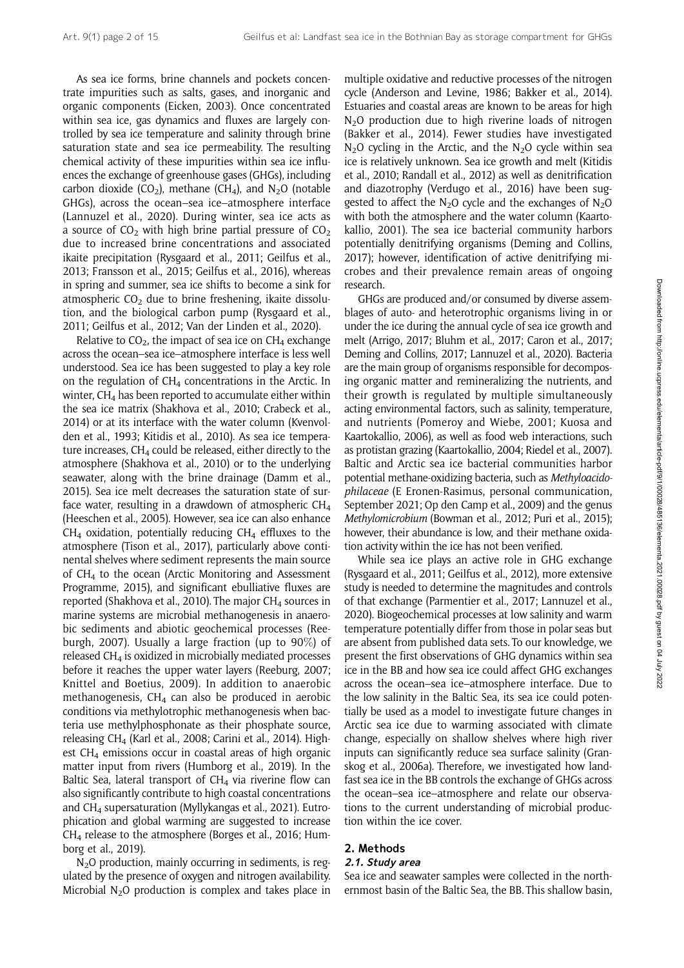As sea ice forms, brine channels and pockets concentrate impurities such as salts, gases, and inorganic and organic components (Eicken, 2003). Once concentrated within sea ice, gas dynamics and fluxes are largely controlled by sea ice temperature and salinity through brine saturation state and sea ice permeability. The resulting chemical activity of these impurities within sea ice influences the exchange of greenhouse gases (GHGs), including carbon dioxide (CO<sub>2</sub>), methane (CH<sub>4</sub>), and N<sub>2</sub>O (notable GHGs), across the ocean–sea ice–atmosphere interface (Lannuzel et al., 2020). During winter, sea ice acts as a source of  $CO<sub>2</sub>$  with high brine partial pressure of  $CO<sub>2</sub>$ due to increased brine concentrations and associated ikaite precipitation (Rysgaard et al., 2011; Geilfus et al., 2013; Fransson et al., 2015; Geilfus et al., 2016), whereas in spring and summer, sea ice shifts to become a sink for atmospheric  $CO<sub>2</sub>$  due to brine freshening, ikaite dissolution, and the biological carbon pump (Rysgaard et al., 2011; Geilfus et al., 2012; Van der Linden et al., 2020).

Relative to  $CO<sub>2</sub>$ , the impact of sea ice on  $CH<sub>4</sub>$  exchange across the ocean–sea ice–atmosphere interface is less well understood. Sea ice has been suggested to play a key role on the regulation of  $CH<sub>4</sub>$  concentrations in the Arctic. In winter,  $CH<sub>4</sub>$  has been reported to accumulate either within the sea ice matrix (Shakhova et al., 2010; Crabeck et al., 2014) or at its interface with the water column (Kvenvolden et al., 1993; Kitidis et al., 2010). As sea ice temperature increases,  $CH<sub>4</sub>$  could be released, either directly to the atmosphere (Shakhova et al., 2010) or to the underlying seawater, along with the brine drainage (Damm et al., 2015). Sea ice melt decreases the saturation state of surface water, resulting in a drawdown of atmospheric  $CH<sub>4</sub>$ (Heeschen et al., 2005). However, sea ice can also enhance  $CH<sub>4</sub>$  oxidation, potentially reducing  $CH<sub>4</sub>$  effluxes to the atmosphere (Tison et al., 2017), particularly above continental shelves where sediment represents the main source of  $CH<sub>4</sub>$  to the ocean (Arctic Monitoring and Assessment Programme, 2015), and significant ebulliative fluxes are reported (Shakhova et al., 2010). The major  $CH<sub>4</sub>$  sources in marine systems are microbial methanogenesis in anaerobic sediments and abiotic geochemical processes (Reeburgh, 2007). Usually a large fraction (up to 90%) of released CH4 is oxidized in microbially mediated processes before it reaches the upper water layers (Reeburg, 2007; Knittel and Boetius, 2009). In addition to anaerobic methanogenesis,  $CH<sub>4</sub>$  can also be produced in aerobic conditions via methylotrophic methanogenesis when bacteria use methylphosphonate as their phosphate source, releasing  $CH<sub>4</sub>$  (Karl et al., 2008; Carini et al., 2014). Highest  $CH<sub>4</sub>$  emissions occur in coastal areas of high organic matter input from rivers (Humborg et al., 2019). In the Baltic Sea, lateral transport of  $CH<sub>4</sub>$  via riverine flow can also significantly contribute to high coastal concentrations and CH4 supersaturation (Myllykangas et al., 2021). Eutrophication and global warming are suggested to increase  $CH<sub>4</sub>$  release to the atmosphere (Borges et al., 2016; Humborg et al., 2019).

 $N<sub>2</sub>O$  production, mainly occurring in sediments, is regulated by the presence of oxygen and nitrogen availability. Microbial  $N_2O$  production is complex and takes place in multiple oxidative and reductive processes of the nitrogen cycle (Anderson and Levine, 1986; Bakker et al., 2014). Estuaries and coastal areas are known to be areas for high N<sub>2</sub>O production due to high riverine loads of nitrogen (Bakker et al., 2014). Fewer studies have investigated  $N<sub>2</sub>O$  cycling in the Arctic, and the  $N<sub>2</sub>O$  cycle within sea ice is relatively unknown. Sea ice growth and melt (Kitidis et al., 2010; Randall et al., 2012) as well as denitrification and diazotrophy (Verdugo et al., 2016) have been suggested to affect the  $N_2O$  cycle and the exchanges of  $N_2O$ with both the atmosphere and the water column (Kaartokallio, 2001). The sea ice bacterial community harbors potentially denitrifying organisms (Deming and Collins, 2017); however, identification of active denitrifying microbes and their prevalence remain areas of ongoing research.

GHGs are produced and/or consumed by diverse assemblages of auto- and heterotrophic organisms living in or under the ice during the annual cycle of sea ice growth and melt (Arrigo, 2017; Bluhm et al., 2017; Caron et al., 2017; Deming and Collins, 2017; Lannuzel et al., 2020). Bacteria are the main group of organisms responsible for decomposing organic matter and remineralizing the nutrients, and their growth is regulated by multiple simultaneously acting environmental factors, such as salinity, temperature, and nutrients (Pomeroy and Wiebe, 2001; Kuosa and Kaartokallio, 2006), as well as food web interactions, such as protistan grazing (Kaartokallio, 2004; Riedel et al., 2007). Baltic and Arctic sea ice bacterial communities harbor potential methane-oxidizing bacteria, such as Methyloacidophilaceae (E Eronen-Rasimus, personal communication, September 2021; Op den Camp et al., 2009) and the genus Methylomicrobium (Bowman et al., 2012; Puri et al., 2015); however, their abundance is low, and their methane oxidation activity within the ice has not been verified.

While sea ice plays an active role in GHG exchange (Rysgaard et al., 2011; Geilfus et al., 2012), more extensive study is needed to determine the magnitudes and controls of that exchange (Parmentier et al., 2017; Lannuzel et al., 2020). Biogeochemical processes at low salinity and warm temperature potentially differ from those in polar seas but are absent from published data sets. To our knowledge, we present the first observations of GHG dynamics within sea ice in the BB and how sea ice could affect GHG exchanges across the ocean–sea ice–atmosphere interface. Due to the low salinity in the Baltic Sea, its sea ice could potentially be used as a model to investigate future changes in Arctic sea ice due to warming associated with climate change, especially on shallow shelves where high river inputs can significantly reduce sea surface salinity (Granskog et al., 2006a). Therefore, we investigated how landfast sea ice in the BB controls the exchange of GHGs across the ocean–sea ice–atmosphere and relate our observations to the current understanding of microbial production within the ice cover.

# 2. Methods

# 2.1. Study area

Sea ice and seawater samples were collected in the northernmost basin of the Baltic Sea, the BB. This shallow basin,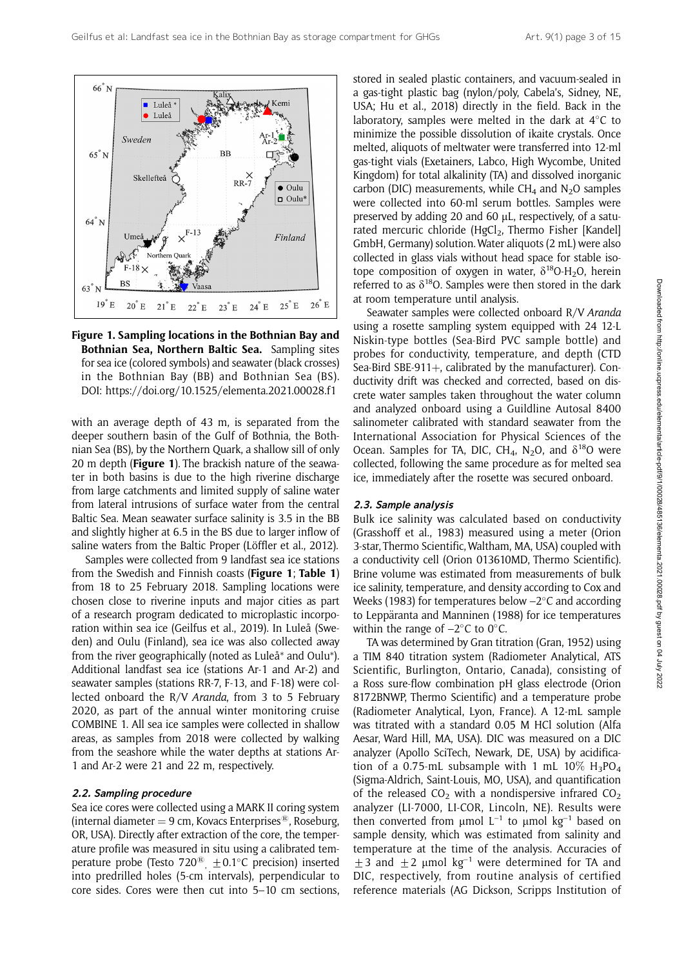

Figure 1. Sampling locations in the Bothnian Bay and Bothnian Sea, Northern Baltic Sea. Sampling sites for sea ice (colored symbols) and seawater (black crosses) in the Bothnian Bay (BB) and Bothnian Sea (BS). DOI: https://doi.org/10.1525/elementa.2021.00028.f1

with an average depth of 43 m, is separated from the deeper southern basin of the Gulf of Bothnia, the Bothnian Sea (BS), by the Northern Quark, a shallow sill of only 20 m depth (**Figure 1**). The brackish nature of the seawater in both basins is due to the high riverine discharge from large catchments and limited supply of saline water from lateral intrusions of surface water from the central Baltic Sea. Mean seawater surface salinity is 3.5 in the BB and slightly higher at 6.5 in the BS due to larger inflow of saline waters from the Baltic Proper (Löffler et al., 2012).

Samples were collected from 9 landfast sea ice stations from the Swedish and Finnish coasts (Figure 1; Table 1) from 18 to 25 February 2018. Sampling locations were chosen close to riverine inputs and major cities as part of a research program dedicated to microplastic incorporation within sea ice (Geilfus et al., 2019). In Luleå (Sweden) and Oulu (Finland), sea ice was also collected away from the river geographically (noted as Luleå\* and Oulu\*). Additional landfast sea ice (stations Ar-1 and Ar-2) and seawater samples (stations RR-7, F-13, and F-18) were collected onboard the R/V Aranda, from 3 to 5 February 2020, as part of the annual winter monitoring cruise COMBINE 1. All sea ice samples were collected in shallow areas, as samples from 2018 were collected by walking from the seashore while the water depths at stations Ar-1 and Ar-2 were 21 and 22 m, respectively.

#### 2.2. Sampling procedure

Sea ice cores were collected using a MARK II coring system (internal diameter  $= 9$  cm, Kovacs Enterprises<sup>®</sup>, Roseburg, OR, USA). Directly after extraction of the core, the temperature profile was measured in situ using a calibrated temperature probe (Testo 720<sup>®</sup>,  $\pm$ 0.1°C precision) inserted into predrilled holes (5-cm intervals), perpendicular to core sides. Cores were then cut into 5–10 cm sections, stored in sealed plastic containers, and vacuum-sealed in a gas-tight plastic bag (nylon/poly, Cabela's, Sidney, NE, USA; Hu et al., 2018) directly in the field. Back in the laboratory, samples were melted in the dark at  $4^{\circ}$ C to minimize the possible dissolution of ikaite crystals. Once melted, aliquots of meltwater were transferred into 12-ml gas-tight vials (Exetainers, Labco, High Wycombe, United Kingdom) for total alkalinity (TA) and dissolved inorganic carbon (DIC) measurements, while  $CH<sub>4</sub>$  and N<sub>2</sub>O samples were collected into 60-ml serum bottles. Samples were preserved by adding 20 and 60  $\mu$ L, respectively, of a saturated mercuric chloride (HgCl<sub>2</sub>, Thermo Fisher [Kandel] GmbH, Germany) solution. Water aliquots (2 mL) were also collected in glass vials without head space for stable isotope composition of oxygen in water,  $\delta^{18}O-H_2O$ , herein referred to as  $\delta^{18}$ O. Samples were then stored in the dark at room temperature until analysis.

Seawater samples were collected onboard R/V Aranda using a rosette sampling system equipped with 24 12-L Niskin-type bottles (Sea-Bird PVC sample bottle) and probes for conductivity, temperature, and depth (CTD Sea-Bird SBE-911 $+$ , calibrated by the manufacturer). Conductivity drift was checked and corrected, based on discrete water samples taken throughout the water column and analyzed onboard using a Guildline Autosal 8400 salinometer calibrated with standard seawater from the International Association for Physical Sciences of the Ocean. Samples for TA, DIC, CH<sub>4</sub>, N<sub>2</sub>O, and  $\delta^{18}$ O were collected, following the same procedure as for melted sea ice, immediately after the rosette was secured onboard.

#### 2.3. Sample analysis

Bulk ice salinity was calculated based on conductivity (Grasshoff et al., 1983) measured using a meter (Orion 3-star, Thermo Scientific, Waltham, MA, USA) coupled with a conductivity cell (Orion 013610MD, Thermo Scientific). Brine volume was estimated from measurements of bulk ice salinity, temperature, and density according to Cox and Weeks (1983) for temperatures below  $-2^{\circ}$ C and according to Leppäranta and Manninen (1988) for ice temperatures within the range of  $-2$ °C to 0°C.

TA was determined by Gran titration (Gran, 1952) using a TIM 840 titration system (Radiometer Analytical, ATS Scientific, Burlington, Ontario, Canada), consisting of a Ross sure-flow combination pH glass electrode (Orion 8172BNWP, Thermo Scientific) and a temperature probe (Radiometer Analytical, Lyon, France). A 12-mL sample was titrated with a standard 0.05 M HCl solution (Alfa Aesar, Ward Hill, MA, USA). DIC was measured on a DIC analyzer (Apollo SciTech, Newark, DE, USA) by acidification of a 0.75-mL subsample with 1 mL  $10\%$  H<sub>3</sub>PO<sub>4</sub> (Sigma-Aldrich, Saint-Louis, MO, USA), and quantification of the released  $CO<sub>2</sub>$  with a nondispersive infrared  $CO<sub>2</sub>$ analyzer (LI-7000, LI-COR, Lincoln, NE). Results were then converted from  $\mu$ mol L<sup>-1</sup> to  $\mu$ mol kg<sup>-1</sup> based on sample density, which was estimated from salinity and temperature at the time of the analysis. Accuracies of  $\pm$  3 and  $\pm$  2 µmol kg<sup>-1</sup> were determined for TA and DIC, respectively, from routine analysis of certified reference materials (AG Dickson, Scripps Institution of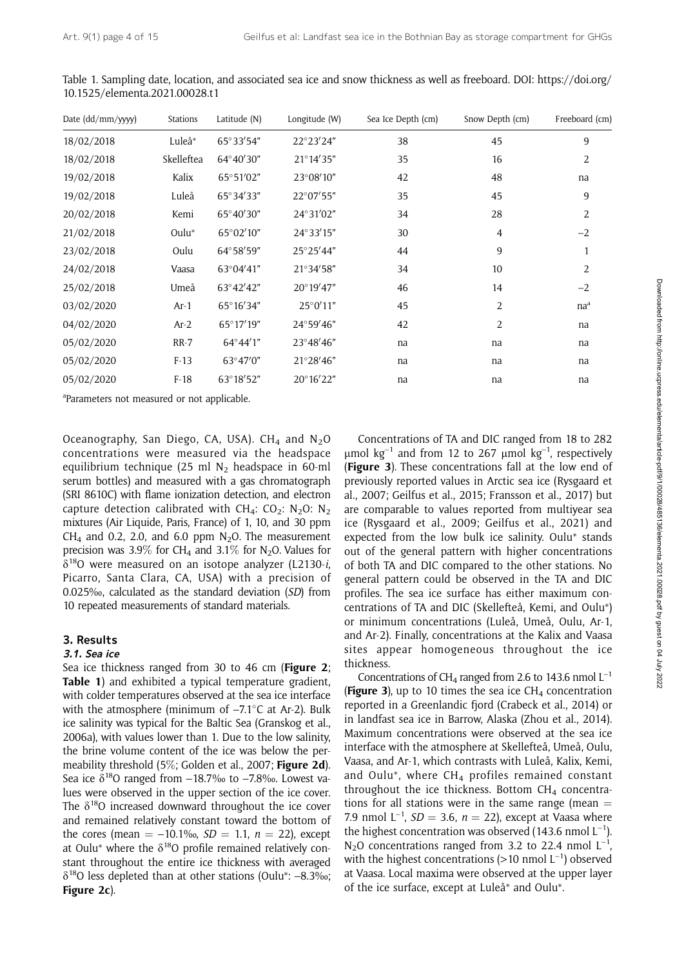| Date (dd/mm/yyyy) | <b>Stations</b> | Latitude (N)       | Longitude (W)      | Sea Ice Depth (cm) | Snow Depth (cm) | Freeboard (cm)  |
|-------------------|-----------------|--------------------|--------------------|--------------------|-----------------|-----------------|
| 18/02/2018        | Luleå*          | $65^{\circ}33'54"$ | 22°23'24"          | 38                 | 45              | 9               |
| 18/02/2018        | Skelleftea      | 64°40'30"          | $21^{\circ}14'35"$ | 35                 | 16              | 2               |
| 19/02/2018        | Kalix           | 65°51'02"          | 23°08'10"          | 42                 | 48              | na              |
| 19/02/2018        | Luleå           | 65°34'33"          | 22°07'55"          | 35                 | 45              | 9               |
| 20/02/2018        | Kemi            | 65°40'30"          | 24°31′02"          | 34                 | 28              | 2               |
| 21/02/2018        | $Oulu^*$        | 65°02'10"          | $24^{\circ}33'15"$ | 30                 | $\overline{4}$  | $-2$            |
| 23/02/2018        | Oulu            | 64°58'59"          | 25°25'44"          | 44                 | 9               | 1               |
| 24/02/2018        | Vaasa           | 63°04'41"          | 21°34'58"          | 34                 | 10              | 2               |
| 25/02/2018        | Umeå            | 63°42'42"          | 20°19'47"          | 46                 | 14              | $-2$            |
| 03/02/2020        | $Ar-1$          | 65°16'34"          | $25^{\circ}0'11"$  | 45                 | $\overline{2}$  | na <sup>a</sup> |
| 04/02/2020        | $Ar-2$          | $65^{\circ}17'19"$ | 24°59'46"          | 42                 | $\overline{2}$  | na              |
| 05/02/2020        | $RR-7$          | 64°44'1"           | 23°48'46"          | na                 | na              | na              |
| 05/02/2020        | $F-13$          | $63^{\circ}47'0''$ | 21°28'46"          | na                 | na              | na              |
| 05/02/2020        | $F-18$          | 63°18'52"          | 20°16'22"          | na                 | na              | na              |
|                   |                 |                    |                    |                    |                 |                 |

Table 1. Sampling date, location, and associated sea ice and snow thickness as well as freeboard. DOI: https://doi.org/ 10.1525/elementa.2021.00028.t1

<sup>a</sup>Parameters not measured or not applicable.

Oceanography, San Diego, CA, USA). CH<sub>4</sub> and  $N_2O$ concentrations were measured via the headspace equilibrium technique (25 ml  $N_2$  headspace in 60-ml serum bottles) and measured with a gas chromatograph (SRI 8610C) with flame ionization detection, and electron capture detection calibrated with CH<sub>4</sub>: CO<sub>2</sub>: N<sub>2</sub>O: N<sub>2</sub> mixtures (Air Liquide, Paris, France) of 1, 10, and 30 ppm CH<sub>4</sub> and 0.2, 2.0, and 6.0 ppm  $N_2O$ . The measurement precision was 3.9% for CH<sub>4</sub> and 3.1% for N<sub>2</sub>O. Values for  $\delta^{18}$ O were measured on an isotope analyzer (L2130-*i*, Picarro, Santa Clara, CA, USA) with a precision of 0.025‰, calculated as the standard deviation (SD) from 10 repeated measurements of standard materials.

# 3. Results

# 3.1. Sea ice

Sea ice thickness ranged from 30 to 46 cm (Figure 2; Table 1) and exhibited a typical temperature gradient, with colder temperatures observed at the sea ice interface with the atmosphere (minimum of  $-7.1^{\circ}$ C at Ar-2). Bulk ice salinity was typical for the Baltic Sea (Granskog et al., 2006a), with values lower than 1. Due to the low salinity, the brine volume content of the ice was below the permeability threshold (5%; Golden et al., 2007; Figure 2d). Sea ice  $\delta^{18}$ O ranged from  $-18.7\%$  to  $-7.8\%$ . Lowest values were observed in the upper section of the ice cover. The  $\delta^{18}$ O increased downward throughout the ice cover and remained relatively constant toward the bottom of the cores (mean  $= -10.1\%$ <sub>0</sub>,  $SD = 1.1$ ,  $n = 22$ ), except at Oulu\* where the  $\delta^{18}$ O profile remained relatively constant throughout the entire ice thickness with averaged  $\delta^{18}$ O less depleted than at other stations (Oulu\*: –8.3‰; Figure 2c).

Concentrations of TA and DIC ranged from 18 to 282  $\mu$ mol kg<sup>-1</sup> and from 12 to 267  $\mu$ mol kg<sup>-1</sup>, respectively (Figure 3). These concentrations fall at the low end of previously reported values in Arctic sea ice (Rysgaard et al., 2007; Geilfus et al., 2015; Fransson et al., 2017) but are comparable to values reported from multiyear sea ice (Rysgaard et al., 2009; Geilfus et al., 2021) and expected from the low bulk ice salinity. Oulu\* stands out of the general pattern with higher concentrations of both TA and DIC compared to the other stations. No general pattern could be observed in the TA and DIC profiles. The sea ice surface has either maximum concentrations of TA and DIC (Skellefteå, Kemi, and Oulu\*) or minimum concentrations (Luleå, Umeå, Oulu, Ar-1, and Ar-2). Finally, concentrations at the Kalix and Vaasa sites appear homogeneous throughout the ice thickness.

Concentrations of CH<sub>4</sub> ranged from 2.6 to 143.6 nmol  $L^{-1}$ (Figure 3), up to 10 times the sea ice  $CH<sub>4</sub>$  concentration reported in a Greenlandic fjord (Crabeck et al., 2014) or in landfast sea ice in Barrow, Alaska (Zhou et al., 2014). Maximum concentrations were observed at the sea ice interface with the atmosphere at Skellefteå, Umeå, Oulu, Vaasa, and Ar-1, which contrasts with Luleå, Kalix, Kemi, and Oulu\*, where  $CH_4$  profiles remained constant throughout the ice thickness. Bottom  $CH<sub>4</sub>$  concentrations for all stations were in the same range (mean  $=$ 7.9 nmol  $L^{-1}$ ,  $SD = 3.6$ ,  $n = 22$ ), except at Vaasa where the highest concentration was observed (143.6 nmol  $L^{-1}$ ).  $N_2O$  concentrations ranged from 3.2 to 22.4 nmol  $L^{-1}$ . with the highest concentrations ( $>$ 10 nmol L<sup>-1</sup>) observed at Vaasa. Local maxima were observed at the upper layer of the ice surface, except at Luleå\* and Oulu\*.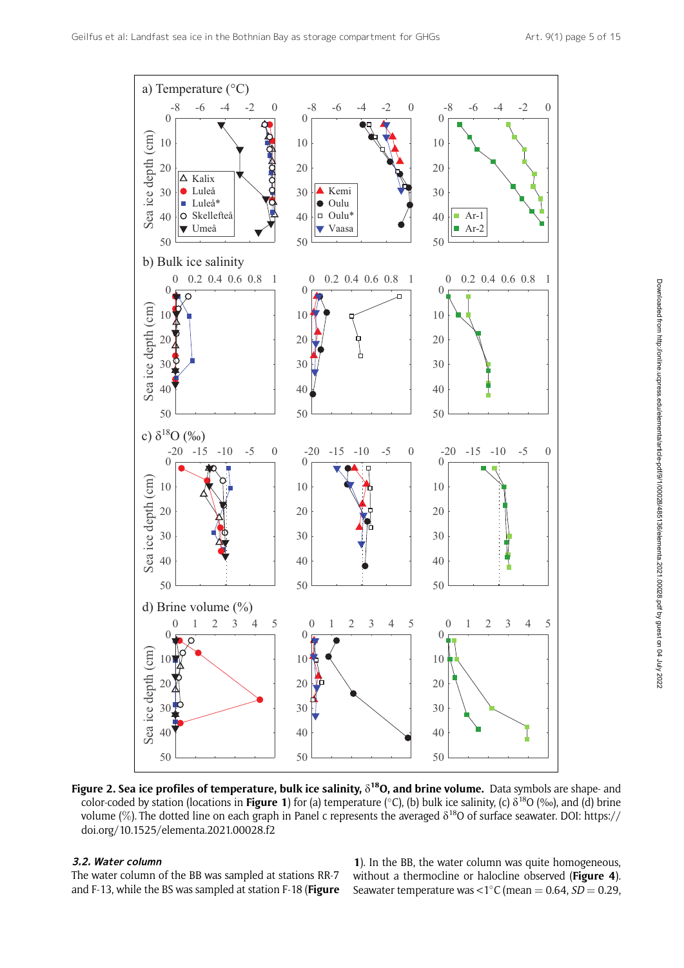

Figure 2. Sea ice profiles of temperature, bulk ice salinity,  $\delta^{18}$ O, and brine volume. Data symbols are shape- and color-coded by station (locations in Figure 1) for (a) temperature (°C), (b) bulk ice salinity, (c)  $\delta^{18}O$  (‰), and (d) brine volume  $(\%)$ . The dotted line on each graph in Panel c represents the averaged  $\delta^{18}$ O of surface seawater. DOI: https:// doi.org/10.1525/elementa.2021.00028.f2

#### 3.2. Water column

The water column of the BB was sampled at stations RR-7 and F-13, while the BS was sampled at station F-18 (Figure

). In the BB, the water column was quite homogeneous, without a thermocline or halocline observed (Figure 4). Seawater temperature was <1 $\degree$ C (mean = 0.64, SD = 0.29,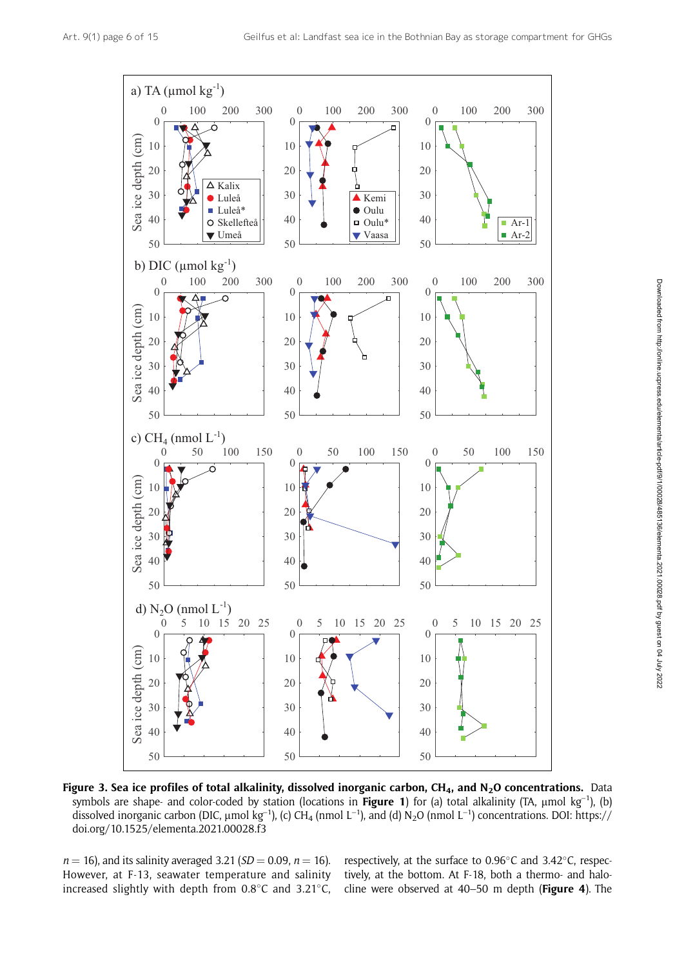

Figure 3. Sea ice profiles of total alkalinity, dissolved inorganic carbon, CH<sub>4</sub>, and N<sub>2</sub>O concentrations. Data symbols are shape- and color-coded by station (locations in Figure 1) for (a) total alkalinity (TA,  $\mu$ mol kg<sup>-1</sup>), (b) dissolved inorganic carbon (DIC,  $\mu$ mol kg<sup>-1</sup>), (c) CH<sub>4</sub> (nmol L<sup>-1</sup>), and (d) N<sub>2</sub>O (nmol L<sup>-1</sup>) concentrations. DOI: https:// doi.org/10.1525/elementa.2021.00028.f3

 $n = 16$ , and its salinity averaged 3.21 (SD = 0.09,  $n = 16$ ). However, at F-13, seawater temperature and salinity increased slightly with depth from  $0.8^{\circ}$ C and  $3.21^{\circ}$ C,

respectively, at the surface to 0.96°C and 3.42°C, respectively, at the bottom. At F-18, both a thermo- and halocline were observed at 40–50 m depth (Figure 4). The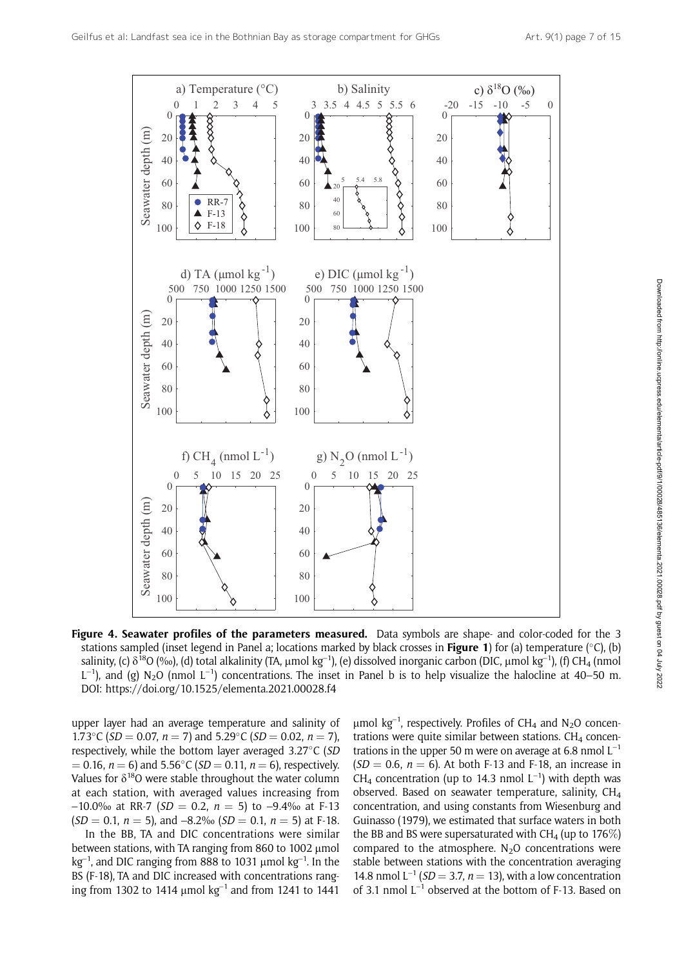

Figure 4. Seawater profiles of the parameters measured. Data symbols are shape- and color-coded for the 3 stations sampled (inset legend in Panel a; locations marked by black crosses in **Figure 1**) for (a) temperature (°C), (b) salinity, (c)  $\delta^{18}O$  (‰), (d) total alkalinity (TA, µmol kg<sup>-1</sup>), (e) dissolved inorganic carbon (DIC, µmol kg<sup>-1</sup>), (f) CH<sub>4</sub> (nmol  $L^{-1}$ ), and (g) N<sub>2</sub>O (nmol  $L^{-1}$ ) concentrations. The inset in Panel b is to help visualize the halocline at 40–50 m. DOI: https://doi.org/10.1525/elementa.2021.00028.f4

upper layer had an average temperature and salinity of 1.73°C (SD = 0.07,  $n = 7$ ) and 5.29°C (SD = 0.02,  $n = 7$ ), respectively, while the bottom layer averaged 3.27°C (SD  $(0.16, n = 6)$  and 5.56°C (*SD* = 0.11,  $n = 6$ ), respectively. Values for  $\delta^{18}O$  were stable throughout the water column at each station, with averaged values increasing from  $-10.0\%$  at RR-7 (SD = 0.2, n = 5) to -9.4‰ at F-13  $(SD = 0.1, n = 5)$ , and  $-8.2%$   $(SD = 0.1, n = 5)$  at F-18.

In the BB, TA and DIC concentrations were similar between stations, with TA ranging from 860 to 1002  $\mu$ mol kg<sup>-1</sup>, and DIC ranging from 888 to 1031  $\mu$ mol kg<sup>-1</sup>. In the BS (F-18), TA and DIC increased with concentrations ranging from 1302 to 1414  $\mu$ mol kg<sup>-1</sup> and from 1241 to 1441

 $\mu$ mol kg<sup>-1</sup>, respectively. Profiles of CH<sub>4</sub> and N<sub>2</sub>O concentrations were quite similar between stations.  $CH<sub>4</sub>$  concentrations in the upper 50 m were on average at 6.8 nmol  $L^{-1}$  $(SD = 0.6, n = 6)$ . At both F-13 and F-18, an increase in CH<sub>4</sub> concentration (up to 14.3 nmol  $L^{-1}$ ) with depth was observed. Based on seawater temperature, salinity, CH4 concentration, and using constants from Wiesenburg and Guinasso (1979), we estimated that surface waters in both the BB and BS were supersaturated with  $CH<sub>4</sub>$  (up to 176 $\%)$ compared to the atmosphere.  $N_2O$  concentrations were stable between stations with the concentration averaging 14.8 nmol  $L^{-1}$  (*SD* = 3.7, *n* = 13), with a low concentration of 3.1 nmol  $L^{-1}$  observed at the bottom of F-13. Based on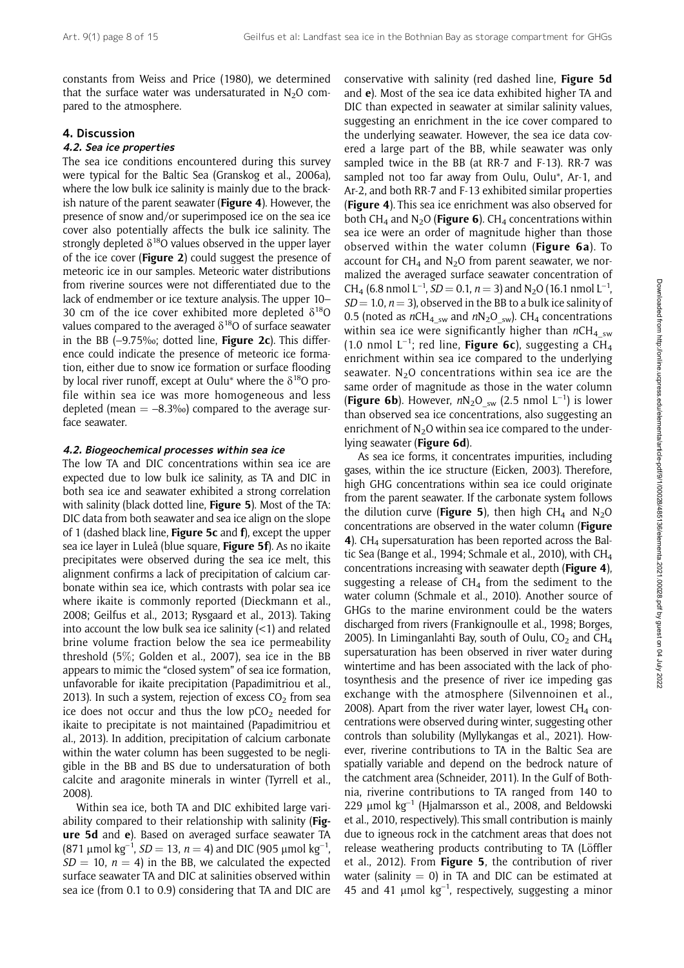constants from Weiss and Price (1980), we determined that the surface water was undersaturated in  $N_2O$  compared to the atmosphere.

#### 4. Discussion

#### 4.2. Sea ice properties

The sea ice conditions encountered during this survey were typical for the Baltic Sea (Granskog et al., 2006a), where the low bulk ice salinity is mainly due to the brackish nature of the parent seawater (Figure 4). However, the presence of snow and/or superimposed ice on the sea ice cover also potentially affects the bulk ice salinity. The strongly depleted  $\delta^{18}O$  values observed in the upper layer of the ice cover (Figure 2) could suggest the presence of meteoric ice in our samples. Meteoric water distributions from riverine sources were not differentiated due to the lack of endmember or ice texture analysis. The upper 10– 30 cm of the ice cover exhibited more depleted  $\delta^{18}$ O values compared to the averaged  $\delta^{18}O$  of surface seawater in the BB  $(-9.75)$ %; dotted line, **Figure 2c**). This difference could indicate the presence of meteoric ice formation, either due to snow ice formation or surface flooding by local river runoff, except at Oulu<sup>\*</sup> where the  $\delta^{18}O$  profile within sea ice was more homogeneous and less depleted (mean  $= -8.3\%$ ) compared to the average surface seawater.

#### 4.2. Biogeochemical processes within sea ice

The low TA and DIC concentrations within sea ice are expected due to low bulk ice salinity, as TA and DIC in both sea ice and seawater exhibited a strong correlation with salinity (black dotted line, Figure 5). Most of the TA: DIC data from both seawater and sea ice align on the slope of 1 (dashed black line, Figure 5c and  $f$ ), except the upper sea ice layer in Luleå (blue square, Figure 5f). As no ikaite precipitates were observed during the sea ice melt, this alignment confirms a lack of precipitation of calcium carbonate within sea ice, which contrasts with polar sea ice where ikaite is commonly reported (Dieckmann et al., 2008; Geilfus et al., 2013; Rysgaard et al., 2013). Taking into account the low bulk sea ice salinity  $(<1)$  and related brine volume fraction below the sea ice permeability threshold (5%; Golden et al., 2007), sea ice in the BB appears to mimic the "closed system" of sea ice formation, unfavorable for ikaite precipitation (Papadimitriou et al., 2013). In such a system, rejection of excess  $CO<sub>2</sub>$  from sea ice does not occur and thus the low  $pCO<sub>2</sub>$  needed for ikaite to precipitate is not maintained (Papadimitriou et al., 2013). In addition, precipitation of calcium carbonate within the water column has been suggested to be negligible in the BB and BS due to undersaturation of both calcite and aragonite minerals in winter (Tyrrell et al., 2008).

Within sea ice, both TA and DIC exhibited large variability compared to their relationship with salinity (Figure 5d and e). Based on averaged surface seawater TA (871 µmol kg<sup>-1</sup>, *SD* = 13, *n* = 4) and DIC (905 µmol kg<sup>-1</sup>,  $SD = 10$ ,  $n = 4$ ) in the BB, we calculated the expected surface seawater TA and DIC at salinities observed within sea ice (from 0.1 to 0.9) considering that TA and DIC are conservative with salinity (red dashed line, Figure 5d and e). Most of the sea ice data exhibited higher TA and DIC than expected in seawater at similar salinity values, suggesting an enrichment in the ice cover compared to the underlying seawater. However, the sea ice data covered a large part of the BB, while seawater was only sampled twice in the BB (at RR-7 and F-13). RR-7 was sampled not too far away from Oulu, Oulu\*, Ar-1, and Ar-2, and both RR-7 and F-13 exhibited similar properties (Figure 4). This sea ice enrichment was also observed for both CH<sub>4</sub> and N<sub>2</sub>O (**Figure 6**). CH<sub>4</sub> concentrations within sea ice were an order of magnitude higher than those observed within the water column (Figure 6a). To account for  $CH<sub>4</sub>$  and N<sub>2</sub>O from parent seawater, we normalized the averaged surface seawater concentration of CH<sub>4</sub> (6.8 nmol L<sup>-1</sup>, *SD* = 0.1, *n* = 3) and N<sub>2</sub>O (16.1 nmol L<sup>-1</sup>,  $SD = 1.0$ ,  $n = 3$ ), observed in the BB to a bulk ice salinity of 0.5 (noted as  $nCH_{4\_sw}$  and  $nN_2O_{sw}$ ). CH<sub>4</sub> concentrations within sea ice were significantly higher than  $nCH_{4\,sym}$ (1.0 nmol  $L^{-1}$ ; red line, **Figure 6c**), suggesting a CH<sub>4</sub> enrichment within sea ice compared to the underlying seawater.  $N_2O$  concentrations within sea ice are the same order of magnitude as those in the water column (Figure 6b). However,  $nN_2O_{sw}$  (2.5 nmol L<sup>-1</sup>) is lower than observed sea ice concentrations, also suggesting an enrichment of  $N<sub>2</sub>O$  within sea ice compared to the underlying seawater (Figure 6d).

As sea ice forms, it concentrates impurities, including gases, within the ice structure (Eicken, 2003). Therefore, high GHG concentrations within sea ice could originate from the parent seawater. If the carbonate system follows the dilution curve (**Figure 5**), then high CH<sub>4</sub> and N<sub>2</sub>O concentrations are observed in the water column (Figure 4). CH<sub>4</sub> supersaturation has been reported across the Baltic Sea (Bange et al., 1994; Schmale et al., 2010), with CH4 concentrations increasing with seawater depth (Figure 4), suggesting a release of  $CH<sub>4</sub>$  from the sediment to the water column (Schmale et al., 2010). Another source of GHGs to the marine environment could be the waters discharged from rivers (Frankignoulle et al., 1998; Borges, 2005). In Liminganlahti Bay, south of Oulu,  $CO<sub>2</sub>$  and  $CH<sub>4</sub>$ supersaturation has been observed in river water during wintertime and has been associated with the lack of photosynthesis and the presence of river ice impeding gas exchange with the atmosphere (Silvennoinen et al., 2008). Apart from the river water layer, lowest  $CH<sub>4</sub>$  concentrations were observed during winter, suggesting other controls than solubility (Myllykangas et al., 2021). However, riverine contributions to TA in the Baltic Sea are spatially variable and depend on the bedrock nature of the catchment area (Schneider, 2011). In the Gulf of Bothnia, riverine contributions to TA ranged from 140 to 229  $\mu$ mol kg<sup>-1</sup> (Hjalmarsson et al., 2008, and Beldowski et al., 2010, respectively). This small contribution is mainly due to igneous rock in the catchment areas that does not release weathering products contributing to TA (Löffler et al., 2012). From Figure 5, the contribution of river water (salinity  $= 0$ ) in TA and DIC can be estimated at 45 and 41  $\mu$ mol  $kg^{-1}$ , respectively, suggesting a minor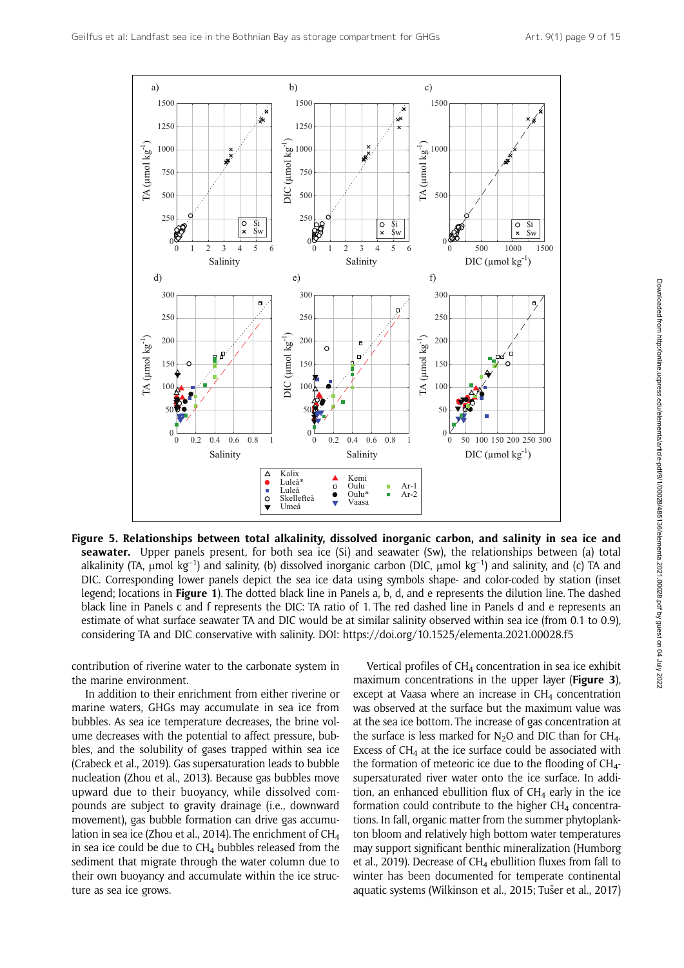

Figure 5. Relationships between total alkalinity, dissolved inorganic carbon, and salinity in sea ice and seawater. Upper panels present, for both sea ice (Si) and seawater (Sw), the relationships between (a) total alkalinity (TA,  $\mu$ mol kg<sup>-1</sup>) and salinity, (b) dissolved inorganic carbon (DIC,  $\mu$ mol kg<sup>-1</sup>) and salinity, and (c) TA and DIC. Corresponding lower panels depict the sea ice data using symbols shape- and color-coded by station (inset legend; locations in Figure 1). The dotted black line in Panels a, b, d, and e represents the dilution line. The dashed black line in Panels c and f represents the DIC: TA ratio of 1. The red dashed line in Panels d and e represents an estimate of what surface seawater TA and DIC would be at similar salinity observed within sea ice (from 0.1 to 0.9), considering TA and DIC conservative with salinity. DOI: https://doi.org/10.1525/elementa.2021.00028.f5

contribution of riverine water to the carbonate system in the marine environment.

In addition to their enrichment from either riverine or marine waters, GHGs may accumulate in sea ice from bubbles. As sea ice temperature decreases, the brine volume decreases with the potential to affect pressure, bubbles, and the solubility of gases trapped within sea ice (Crabeck et al., 2019). Gas supersaturation leads to bubble nucleation (Zhou et al., 2013). Because gas bubbles move upward due to their buoyancy, while dissolved compounds are subject to gravity drainage (i.e., downward movement), gas bubble formation can drive gas accumulation in sea ice (Zhou et al., 2014). The enrichment of CH<sub>4</sub> in sea ice could be due to  $CH<sub>4</sub>$  bubbles released from the sediment that migrate through the water column due to their own buoyancy and accumulate within the ice structure as sea ice grows.

Vertical profiles of CH<sub>4</sub> concentration in sea ice exhibit maximum concentrations in the upper layer (Figure 3), except at Vaasa where an increase in  $CH<sub>4</sub>$  concentration was observed at the surface but the maximum value was at the sea ice bottom. The increase of gas concentration at the surface is less marked for  $N_2O$  and DIC than for CH<sub>4</sub>. Excess of  $CH<sub>4</sub>$  at the ice surface could be associated with the formation of meteoric ice due to the flooding of  $CH_{4}$ supersaturated river water onto the ice surface. In addition, an enhanced ebullition flux of  $CH<sub>4</sub>$  early in the ice formation could contribute to the higher  $CH<sub>4</sub>$  concentrations. In fall, organic matter from the summer phytoplankton bloom and relatively high bottom water temperatures may support significant benthic mineralization (Humborg et al., 2019). Decrease of  $CH<sub>4</sub>$  ebullition fluxes from fall to winter has been documented for temperate continental aquatic systems (Wilkinson et al., 2015; Tušer et al., 2017)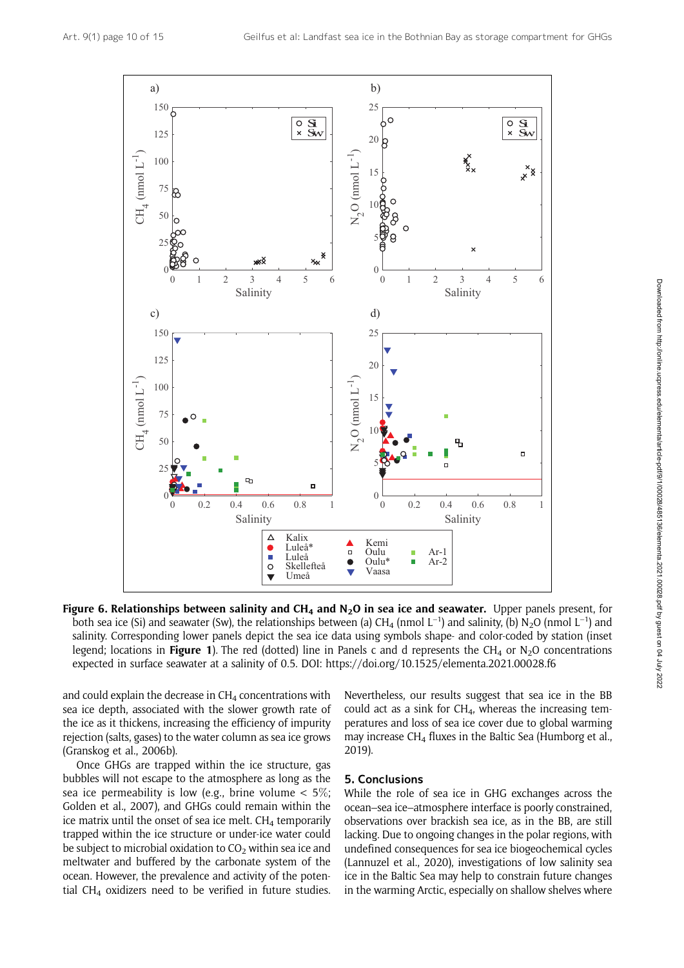

Figure 6. Relationships between salinity and CH<sub>4</sub> and N<sub>2</sub>O in sea ice and seawater. Upper panels present, for both sea ice (Si) and seawater (Sw), the relationships between (a)  $CH_4$  (nmol  $L^{-1}$ ) and salinity, (b) N<sub>2</sub>O (nmol  $L^{-1}$ ) and salinity. Corresponding lower panels depict the sea ice data using symbols shape- and color-coded by station (inset legend; locations in Figure 1). The red (dotted) line in Panels c and d represents the CH<sub>4</sub> or N<sub>2</sub>O concentrations expected in surface seawater at a salinity of 0.5. DOI: https://doi.org/10.1525/elementa.2021.00028.f6

and could explain the decrease in  $CH<sub>4</sub>$  concentrations with sea ice depth, associated with the slower growth rate of the ice as it thickens, increasing the efficiency of impurity rejection (salts, gases) to the water column as sea ice grows (Granskog et al., 2006b).

Once GHGs are trapped within the ice structure, gas bubbles will not escape to the atmosphere as long as the sea ice permeability is low (e.g., brine volume  $< 5\%$ ; Golden et al., 2007), and GHGs could remain within the ice matrix until the onset of sea ice melt.  $CH<sub>4</sub>$  temporarily trapped within the ice structure or under-ice water could be subject to microbial oxidation to  $CO<sub>2</sub>$  within sea ice and meltwater and buffered by the carbonate system of the ocean. However, the prevalence and activity of the potential CH<sub>4</sub> oxidizers need to be verified in future studies. Nevertheless, our results suggest that sea ice in the BB could act as a sink for  $CH<sub>4</sub>$ , whereas the increasing temperatures and loss of sea ice cover due to global warming may increase  $CH<sub>4</sub>$  fluxes in the Baltic Sea (Humborg et al., 2019).

# 5. Conclusions

While the role of sea ice in GHG exchanges across the ocean–sea ice–atmosphere interface is poorly constrained, observations over brackish sea ice, as in the BB, are still lacking. Due to ongoing changes in the polar regions, with undefined consequences for sea ice biogeochemical cycles (Lannuzel et al., 2020), investigations of low salinity sea ice in the Baltic Sea may help to constrain future changes in the warming Arctic, especially on shallow shelves where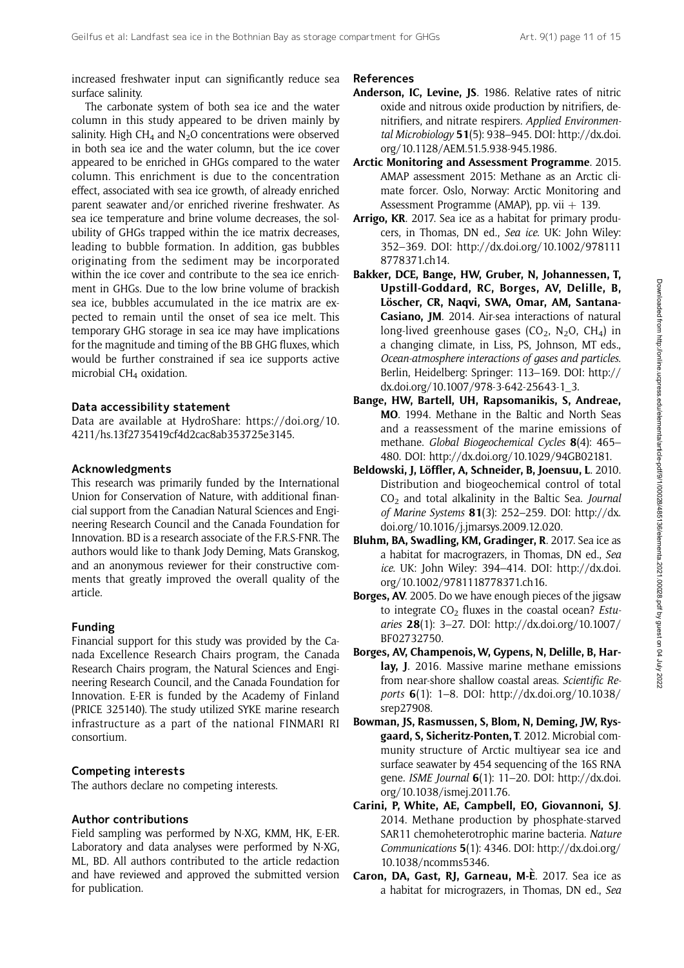increased freshwater input can significantly reduce sea surface salinity.

The carbonate system of both sea ice and the water column in this study appeared to be driven mainly by salinity. High CH<sub>4</sub> and N<sub>2</sub>O concentrations were observed in both sea ice and the water column, but the ice cover appeared to be enriched in GHGs compared to the water column. This enrichment is due to the concentration effect, associated with sea ice growth, of already enriched parent seawater and/or enriched riverine freshwater. As sea ice temperature and brine volume decreases, the solubility of GHGs trapped within the ice matrix decreases, leading to bubble formation. In addition, gas bubbles originating from the sediment may be incorporated within the ice cover and contribute to the sea ice enrichment in GHGs. Due to the low brine volume of brackish sea ice, bubbles accumulated in the ice matrix are expected to remain until the onset of sea ice melt. This temporary GHG storage in sea ice may have implications for the magnitude and timing of the BB GHG fluxes, which would be further constrained if sea ice supports active microbial CH<sub>4</sub> oxidation.

# Data accessibility statement

Data are available at HydroShare: [https://doi.org/10.](https://doi.org/10.4211/hs.13f2735419cf4d2cac8ab353725e3145) [4211/hs.13f2735419cf4d2cac8ab353725e3145](https://doi.org/10.4211/hs.13f2735419cf4d2cac8ab353725e3145).

# Acknowledgments

This research was primarily funded by the International Union for Conservation of Nature, with additional financial support from the Canadian Natural Sciences and Engineering Research Council and the Canada Foundation for Innovation. BD is a research associate of the F.R.S-FNR. The authors would like to thank Jody Deming, Mats Granskog, and an anonymous reviewer for their constructive comments that greatly improved the overall quality of the article.

# Funding

Financial support for this study was provided by the Canada Excellence Research Chairs program, the Canada Research Chairs program, the Natural Sciences and Engineering Research Council, and the Canada Foundation for Innovation. E-ER is funded by the Academy of Finland (PRICE 325140). The study utilized SYKE marine research infrastructure as a part of the national FINMARI RI consortium.

# Competing interests

The authors declare no competing interests.

# Author contributions

Field sampling was performed by N-XG, KMM, HK, E-ER. Laboratory and data analyses were performed by N-XG, ML, BD. All authors contributed to the article redaction and have reviewed and approved the submitted version for publication.

#### References

- Anderson, IC, Levine, JS. 1986. Relative rates of nitric oxide and nitrous oxide production by nitrifiers, denitrifiers, and nitrate respirers. Applied Environmental Microbiology 51(5): 938–945. DOI: [http://dx.doi.](http://dx.doi.org/10.1128/AEM.51.5.938-945.1986) [org/10.1128/AEM.51.5.938-945.1986.](http://dx.doi.org/10.1128/AEM.51.5.938-945.1986)
- Arctic Monitoring and Assessment Programme. 2015. AMAP assessment 2015: Methane as an Arctic climate forcer. Oslo, Norway: Arctic Monitoring and Assessment Programme (AMAP), pp. vii  $+$  139.
- Arrigo, KR. 2017. Sea ice as a habitat for primary producers, in Thomas, DN ed., Sea ice. UK: John Wiley: 352–369. DOI: [http://dx.doi.org/10.1002/978111](http://dx.doi.org/10.1002/9781118778371.ch14) [8778371.ch14](http://dx.doi.org/10.1002/9781118778371.ch14).
- Bakker, DCE, Bange, HW, Gruber, N, Johannessen, T, Upstill-Goddard, RC, Borges, AV, Delille, B, Löscher, CR, Naqvi, SWA, Omar, AM, Santana-Casiano, JM. 2014. Air-sea interactions of natural long-lived greenhouse gases ( $CO<sub>2</sub>$ , N<sub>2</sub>O, CH<sub>4</sub>) in a changing climate, in Liss, PS, Johnson, MT eds., Ocean-atmosphere interactions of gases and particles. Berlin, Heidelberg: Springer: 113–169. DOI: [http://](http://dx.doi.org/10.1007/978-3-642-25643-1_3) [dx.doi.org/10.1007/978-3-642-25643-1\\_3.](http://dx.doi.org/10.1007/978-3-642-25643-1_3)
- Bange, HW, Bartell, UH, Rapsomanikis, S, Andreae, MO. 1994. Methane in the Baltic and North Seas and a reassessment of the marine emissions of methane. Global Biogeochemical Cycles 8(4): 465– 480. DOI: [http://dx.doi.org/10.1029/94GB02181.](http://dx.doi.org/10.1029/94GB02181)
- Beldowski, J, Löffler, A, Schneider, B, Joensuu, L. 2010. Distribution and biogeochemical control of total  $CO<sub>2</sub>$  and total alkalinity in the Baltic Sea. Journal of Marine Systems 81(3): 252–259. DOI: [http://dx.](http://dx.doi.org/10.1016/j.jmarsys.2009.12.020) [doi.org/10.1016/j.jmarsys.2009.12.020.](http://dx.doi.org/10.1016/j.jmarsys.2009.12.020)
- Bluhm, BA, Swadling, KM, Gradinger, R. 2017. Sea ice as a habitat for macrograzers, in Thomas, DN ed., Sea ice. UK: John Wiley: 394–414. DOI: [http://dx.doi.](http://dx.doi.org/10.1002/9781118778371.ch16) [org/10.1002/9781118778371.ch16](http://dx.doi.org/10.1002/9781118778371.ch16).
- Borges, AV. 2005. Do we have enough pieces of the jigsaw to integrate  $CO<sub>2</sub>$  fluxes in the coastal ocean? Estuaries 28(1): 3–27. DOI: [http://dx.doi.org/10.1007/](http://dx.doi.org/10.1007/BF02732750) [BF02732750](http://dx.doi.org/10.1007/BF02732750).
- Borges, AV, Champenois,W, Gypens, N, Delille, B, Harlay, J. 2016. Massive marine methane emissions from near-shore shallow coastal areas. Scientific Reports 6(1): 1–8. DOI: [http://dx.doi.org/10.1038/](http://dx.doi.org/10.1038/srep27908) [srep27908.](http://dx.doi.org/10.1038/srep27908)
- Bowman, JS, Rasmussen, S, Blom, N, Deming, JW, Rysgaard, S, Sicheritz-Ponten, T. 2012. Microbial community structure of Arctic multiyear sea ice and surface seawater by 454 sequencing of the 16S RNA gene. ISME Journal 6(1): 11–20. DOI: [http://dx.doi.](http://dx.doi.org/10.1038/ismej.2011.76) [org/10.1038/ismej.2011.76](http://dx.doi.org/10.1038/ismej.2011.76).
- Carini, P, White, AE, Campbell, EO, Giovannoni, SJ. 2014. Methane production by phosphate-starved SAR11 chemoheterotrophic marine bacteria. Nature Communications 5(1): 4346. DOI: [http://dx.doi.org/](http://dx.doi.org/10.1038/ncomms5346) [10.1038/ncomms5346](http://dx.doi.org/10.1038/ncomms5346).
- Caron, DA, Gast, RJ, Garneau, M-È. 2017. Sea ice as a habitat for micrograzers, in Thomas, DN ed., Sea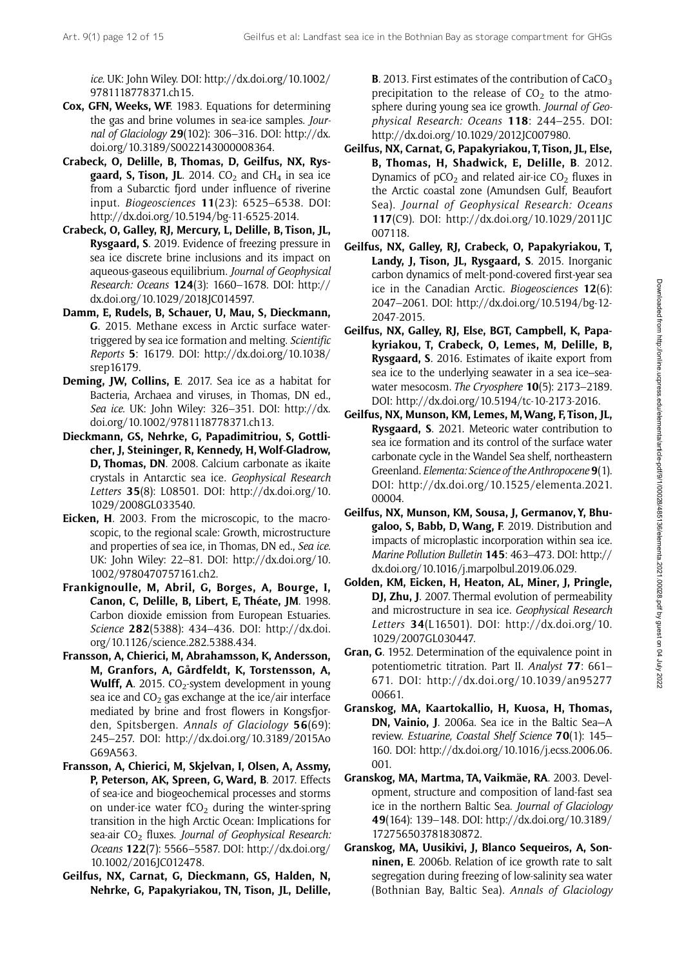ice. UK: John Wiley. DOI: [http://dx.doi.org/10.1002/](http://dx.doi.org/10.1002/9781118778371.ch15) [9781118778371.ch15.](http://dx.doi.org/10.1002/9781118778371.ch15)

- Cox, GFN, Weeks, WF. 1983. Equations for determining the gas and brine volumes in sea-ice samples. Journal of Glaciology 29(102): 306–316. DOI: [http://dx.](http://dx.doi.org/10.3189/S0022143000008364) [doi.org/10.3189/S0022143000008364.](http://dx.doi.org/10.3189/S0022143000008364)
- Crabeck, O, Delille, B, Thomas, D, Geilfus, NX, Rys**gaard, S, Tison, JL.** 2014.  $CO<sub>2</sub>$  and CH<sub>4</sub> in sea ice from a Subarctic fjord under influence of riverine input. Biogeosciences 11(23): 6525–6538. DOI: <http://dx.doi.org/10.5194/bg-11-6525-2014>.
- Crabeck, O, Galley, RJ, Mercury, L, Delille, B, Tison, JL, Rysgaard, S. 2019. Evidence of freezing pressure in sea ice discrete brine inclusions and its impact on aqueous-gaseous equilibrium. Journal of Geophysical Research: Oceans 124(3): 1660–1678. DOI: [http://](http://dx.doi.org/10.1029/2018JC014597) [dx.doi.org/10.1029/2018JC014597.](http://dx.doi.org/10.1029/2018JC014597)
- Damm, E, Rudels, B, Schauer, U, Mau, S, Dieckmann, G. 2015. Methane excess in Arctic surface watertriggered by sea ice formation and melting. Scientific Reports 5: 16179. DOI: [http://dx.doi.org/10.1038/](http://dx.doi.org/10.1038/srep16179) [srep16179.](http://dx.doi.org/10.1038/srep16179)
- Deming, JW, Collins, E. 2017. Sea ice as a habitat for Bacteria, Archaea and viruses, in Thomas, DN ed., Sea ice. UK: John Wiley: 326–351. DOI: [http://dx.](http://dx.doi.org/10.1002/9781118778371.ch13) [doi.org/10.1002/9781118778371.ch13.](http://dx.doi.org/10.1002/9781118778371.ch13)
- Dieckmann, GS, Nehrke, G, Papadimitriou, S, Gottlicher, J, Steininger, R, Kennedy, H, Wolf-Gladrow, D, Thomas, DN. 2008. Calcium carbonate as ikaite crystals in Antarctic sea ice. Geophysical Research Letters 35(8): L08501. DOI: [http://dx.doi.org/10.](http://dx.doi.org/10.1029/2008GL033540) [1029/2008GL033540.](http://dx.doi.org/10.1029/2008GL033540)
- Eicken, H. 2003. From the microscopic, to the macroscopic, to the regional scale: Growth, microstructure and properties of sea ice, in Thomas, DN ed., Sea ice. UK: John Wiley: 22–81. DOI: [http://dx.doi.org/10.](http://dx.doi.org/10.1002/9780470757161.ch2) [1002/9780470757161.ch2.](http://dx.doi.org/10.1002/9780470757161.ch2)
- Frankignoulle, M, Abril, G, Borges, A, Bourge, I, Canon, C, Delille, B, Libert, E, Théate, JM. 1998. Carbon dioxide emission from European Estuaries. Science 282(5388): 434–436. DOI: [http://dx.doi.](http://dx.doi.org/10.1126/science.282.5388.434) [org/10.1126/science.282.5388.434](http://dx.doi.org/10.1126/science.282.5388.434).
- Fransson, A, Chierici, M, Abrahamsson, K, Andersson, M, Granfors, A, Gårdfeldt, K, Torstensson, A, **Wulff, A.** 2015. CO<sub>2</sub>-system development in young sea ice and  $CO<sub>2</sub>$  gas exchange at the ice/air interface mediated by brine and frost flowers in Kongsfjorden, Spitsbergen. Annals of Glaciology 56(69): 245–257. DOI: [http://dx.doi.org/10.3189/2015Ao](http://dx.doi.org/10.3189/2015AoG69A563) [G69A563](http://dx.doi.org/10.3189/2015AoG69A563).
- Fransson, A, Chierici, M, Skjelvan, I, Olsen, A, Assmy, P, Peterson, AK, Spreen, G, Ward, B. 2017. Effects of sea-ice and biogeochemical processes and storms on under-ice water  $fCO<sub>2</sub>$  during the winter-spring transition in the high Arctic Ocean: Implications for sea-air  $CO<sub>2</sub>$  fluxes. Journal of Geophysical Research: Oceans 122(7): 5566–5587. DOI: [http://dx.doi.org/](http://dx.doi.org/10.1002/2016JC012478) [10.1002/2016JC012478.](http://dx.doi.org/10.1002/2016JC012478)
- Geilfus, NX, Carnat, G, Dieckmann, GS, Halden, N, Nehrke, G, Papakyriakou, TN, Tison, JL, Delille,

**B.** 2013. First estimates of the contribution of  $CaCO<sub>3</sub>$ precipitation to the release of  $CO<sub>2</sub>$  to the atmosphere during young sea ice growth. Journal of Geophysical Research: Oceans 118: 244–255. DOI: [http://dx.doi.org/10.1029/2012JC007980.](http://dx.doi.org/10.1029/2012JC007980)

- Geilfus, NX, Carnat, G, Papakyriakou, T, Tison, JL, Else, B, Thomas, H, Shadwick, E, Delille, B. 2012. Dynamics of  $pCO<sub>2</sub>$  and related air-ice  $CO<sub>2</sub>$  fluxes in the Arctic coastal zone (Amundsen Gulf, Beaufort Sea). Journal of Geophysical Research: Oceans 117(C9). DOI: [http://dx.doi.org/10.1029/2011JC](http://dx.doi.org/10.1029/2011JC007118) [007118](http://dx.doi.org/10.1029/2011JC007118).
- Geilfus, NX, Galley, RJ, Crabeck, O, Papakyriakou, T, Landy, J. Tison, JL, Rysgaard, S. 2015. Inorganic carbon dynamics of melt-pond-covered first-year sea ice in the Canadian Arctic. Biogeosciences 12(6): 2047–2061. DOI: [http://dx.doi.org/10.5194/bg-12-](http://dx.doi.org/10.5194/bg-12-2047-2015) [2047-2015.](http://dx.doi.org/10.5194/bg-12-2047-2015)
- Geilfus, NX, Galley, RJ, Else, BGT, Campbell, K, Papakyriakou, T, Crabeck, O, Lemes, M, Delille, B, Rysgaard, S. 2016. Estimates of ikaite export from sea ice to the underlying seawater in a sea ice–seawater mesocosm. The Cryosphere **10**(5): 2173–2189. DOI: [http://dx.doi.org/10.5194/tc-10-2173-2016.](http://dx.doi.org/10.5194/tc-10-2173-2016)
- Geilfus, NX, Munson, KM, Lemes, M,Wang, F, Tison, JL, Rysgaard, S. 2021. Meteoric water contribution to sea ice formation and its control of the surface water carbonate cycle in the Wandel Sea shelf, northeastern Greenland. Elementa: Science of the Anthropocene 9(1). DOI: [http://dx.doi.org/10.1525/elementa.2021.](http://dx.doi.org/10.1525/elementa.2021.00004) [00004.](http://dx.doi.org/10.1525/elementa.2021.00004)
- Geilfus, NX, Munson, KM, Sousa, J, Germanov, Y, Bhugaloo, S, Babb, D, Wang, F. 2019. Distribution and impacts of microplastic incorporation within sea ice. Marine Pollution Bulletin 145: 463–473. DOI: [http://](http://dx.doi.org/10.1016/j.marpolbul.2019.06.029) [dx.doi.org/10.1016/j.marpolbul.2019.06.029](http://dx.doi.org/10.1016/j.marpolbul.2019.06.029).
- Golden, KM, Eicken, H, Heaton, AL, Miner, J, Pringle, DJ, Zhu, J. 2007. Thermal evolution of permeability and microstructure in sea ice. Geophysical Research Letters 34(L16501). DOI: [http://dx.doi.org/10.](http://dx.doi.org/10.1029/2007GL030447) [1029/2007GL030447.](http://dx.doi.org/10.1029/2007GL030447)
- Gran, G. 1952. Determination of the equivalence point in potentiometric titration. Part II. Analyst 77: 661– 671. DOI: [http://dx.doi.org/10.1039/an95277](http://dx.doi.org/10.1039/an9527700661) [00661.](http://dx.doi.org/10.1039/an9527700661)
- Granskog, MA, Kaartokallio, H, Kuosa, H, Thomas, DN, Vainio, J. 2006a. Sea ice in the Baltic Sea—A review. Estuarine, Coastal Shelf Science 70(1): 145– 160. DOI: [http://dx.doi.org/10.1016/j.ecss.2006.06.](http://dx.doi.org/10.1016/j.ecss.2006.06.001) [001.](http://dx.doi.org/10.1016/j.ecss.2006.06.001)
- Granskog, MA, Martma, TA, Vaikmäe, RA. 2003. Development, structure and composition of land-fast sea ice in the northern Baltic Sea. Journal of Glaciology 49(164): 139–148. DOI: [http://dx.doi.org/10.3189/](http://dx.doi.org/10.3189/172756503781830872) [172756503781830872.](http://dx.doi.org/10.3189/172756503781830872)
- Granskog, MA, Uusikivi, J, Blanco Sequeiros, A, Sonninen, E. 2006b. Relation of ice growth rate to salt segregation during freezing of low-salinity sea water (Bothnian Bay, Baltic Sea). Annals of Glaciology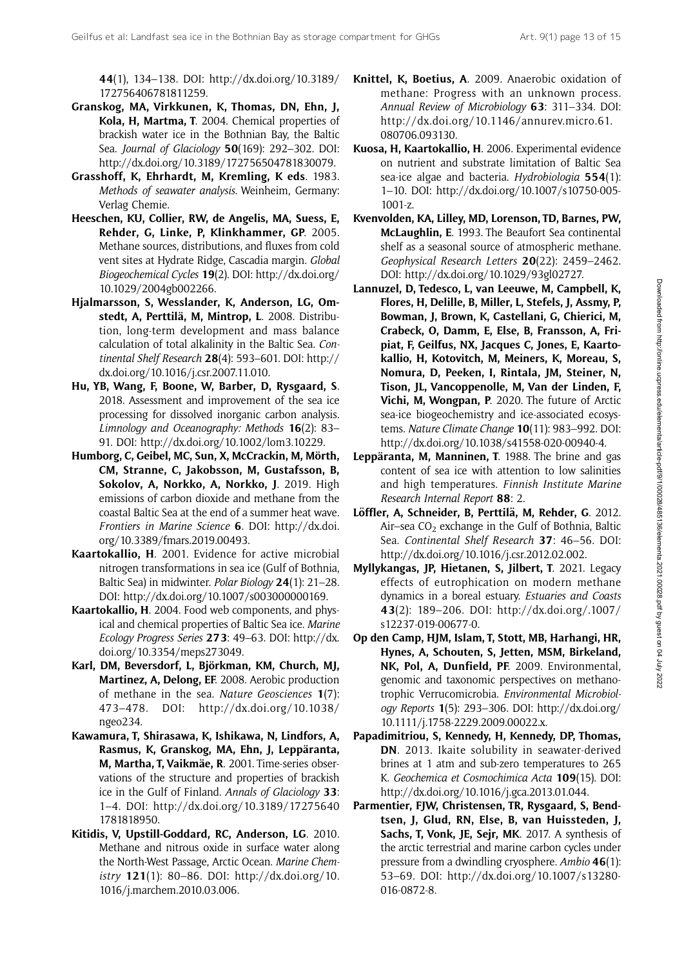44(1), 134–138. DOI: [http://dx.doi.org/10.3189/](http://dx.doi.org/10.3189/172756406781811259) [172756406781811259](http://dx.doi.org/10.3189/172756406781811259).

- Granskog, MA, Virkkunen, K, Thomas, DN, Ehn, J, Kola, H, Martma, T. 2004. Chemical properties of brackish water ice in the Bothnian Bay, the Baltic Sea. Journal of Glaciology 50(169): 292-302. DOI: <http://dx.doi.org/10.3189/172756504781830079>.
- Grasshoff, K, Ehrhardt, M, Kremling, K eds. 1983. Methods of seawater analysis. Weinheim, Germany: Verlag Chemie.
- Heeschen, KU, Collier, RW, de Angelis, MA, Suess, E, Rehder, G, Linke, P, Klinkhammer, GP. 2005. Methane sources, distributions, and fluxes from cold vent sites at Hydrate Ridge, Cascadia margin. Global Biogeochemical Cycles 19(2). DOI: [http://dx.doi.org/](http://dx.doi.org/10.1029/2004gb002266) [10.1029/2004gb002266](http://dx.doi.org/10.1029/2004gb002266).
- Hjalmarsson, S, Wesslander, K, Anderson, LG, Omstedt, A, Perttilä, M, Mintrop, L. 2008. Distribution, long-term development and mass balance calculation of total alkalinity in the Baltic Sea. Continental Shelf Research 28(4): 593–601. DOI: [http://](http://dx.doi.org/10.1016/j.csr.2007.11.010) [dx.doi.org/10.1016/j.csr.2007.11.010](http://dx.doi.org/10.1016/j.csr.2007.11.010).
- Hu, YB, Wang, F, Boone, W, Barber, D, Rysgaard, S. 2018. Assessment and improvement of the sea ice processing for dissolved inorganic carbon analysis. Limnology and Oceanography: Methods 16(2): 83– 91. DOI:<http://dx.doi.org/10.1002/lom3.10229>.
- Humborg, C, Geibel, MC, Sun, X, McCrackin, M, Mörth, CM, Stranne, C, Jakobsson, M, Gustafsson, B, Sokolov, A, Norkko, A, Norkko, J. 2019. High emissions of carbon dioxide and methane from the coastal Baltic Sea at the end of a summer heat wave. Frontiers in Marine Science 6. DOI: [http://dx.doi.](http://dx.doi.org/10.3389/fmars.2019.00493) [org/10.3389/fmars.2019.00493.](http://dx.doi.org/10.3389/fmars.2019.00493)
- Kaartokallio, H. 2001. Evidence for active microbial nitrogen transformations in sea ice (Gulf of Bothnia, Baltic Sea) in midwinter. Polar Biology 24(1): 21–28. DOI: [http://dx.doi.org/10.1007/s003000000169.](http://dx.doi.org/10.1007/s003000000169)
- Kaartokallio, H. 2004. Food web components, and physical and chemical properties of Baltic Sea ice. Marine Ecology Progress Series 273: 49–63. DOI: [http://dx.](http://dx.doi.org/10.3354/meps273049) [doi.org/10.3354/meps273049](http://dx.doi.org/10.3354/meps273049).
- Karl, DM, Beversdorf, L, Björkman, KM, Church, MJ, Martinez, A, Delong, EF. 2008. Aerobic production of methane in the sea. Nature Geosciences 1(7): 473–478. DOI: [http://dx.doi.org/10.1038/](http://dx.doi.org/10.1038/ngeo234) [ngeo234](http://dx.doi.org/10.1038/ngeo234).
- Kawamura, T, Shirasawa, K, Ishikawa, N, Lindfors, A, Rasmus, K, Granskog, MA, Ehn, J, Leppäranta, M, Martha, T, Vaikmäe, R. 2001. Time-series observations of the structure and properties of brackish ice in the Gulf of Finland. Annals of Glaciology 33: 1–4. DOI: [http://dx.doi.org/10.3189/17275640](http://dx.doi.org/10.3189/172756401781818950) [1781818950](http://dx.doi.org/10.3189/172756401781818950).
- Kitidis, V, Upstill-Goddard, RC, Anderson, LG. 2010. Methane and nitrous oxide in surface water along the North-West Passage, Arctic Ocean. Marine Chemistry 121(1): 80–86. DOI: [http://dx.doi.org/10.](http://dx.doi.org/10.1016/j.marchem.2010.03.006) [1016/j.marchem.2010.03.006](http://dx.doi.org/10.1016/j.marchem.2010.03.006).
- Knittel, K, Boetius, A. 2009. Anaerobic oxidation of methane: Progress with an unknown process. Annual Review of Microbiology 63: 311–334. DOI: [http://dx.doi.org/10.1146/annurev.micro.61.](http://dx.doi.org/10.1146/annurev.micro.61.080706.093130) [080706.093130](http://dx.doi.org/10.1146/annurev.micro.61.080706.093130).
- Kuosa, H, Kaartokallio, H. 2006. Experimental evidence on nutrient and substrate limitation of Baltic Sea sea-ice algae and bacteria. Hydrobiologia 554(1): 1–10. DOI: [http://dx.doi.org/10.1007/s10750-005-](http://dx.doi.org/10.1007/s10750-005-1001-z) [1001-z](http://dx.doi.org/10.1007/s10750-005-1001-z).
- Kvenvolden, KA, Lilley, MD, Lorenson, TD, Barnes, PW, McLaughlin, E. 1993. The Beaufort Sea continental shelf as a seasonal source of atmospheric methane. Geophysical Research Letters 20(22): 2459–2462. DOI: [http://dx.doi.org/10.1029/93gl02727.](http://dx.doi.org/10.1029/93gl02727)
- Lannuzel, D, Tedesco, L, van Leeuwe, M, Campbell, K, Flores, H, Delille, B, Miller, L, Stefels, J, Assmy, P, Bowman, J, Brown, K, Castellani, G, Chierici, M, Crabeck, O, Damm, E, Else, B, Fransson, A, Fripiat, F, Geilfus, NX, Jacques C, Jones, E, Kaartokallio, H, Kotovitch, M, Meiners, K, Moreau, S, Nomura, D, Peeken, I, Rintala, JM, Steiner, N, Tison, JL, Vancoppenolle, M, Van der Linden, F, Vichi, M, Wongpan, P. 2020. The future of Arctic sea-ice biogeochemistry and ice-associated ecosystems. Nature Climate Change 10(11): 983–992. DOI: <http://dx.doi.org/10.1038/s41558-020-00940-4>.
- Leppäranta, M, Manninen, T. 1988. The brine and gas content of sea ice with attention to low salinities and high temperatures. Finnish Institute Marine Research Internal Report 88: 2.
- Löffler, A, Schneider, B, Perttilä, M, Rehder, G. 2012. Air–sea  $CO<sub>2</sub>$  exchange in the Gulf of Bothnia, Baltic Sea. Continental Shelf Research 37: 46–56. DOI: [http://dx.doi.org/10.1016/j.csr.2012.02.002.](http://dx.doi.org/10.1016/j.csr.2012.02.002)
- Myllykangas, JP, Hietanen, S, Jilbert, T. 2021. Legacy effects of eutrophication on modern methane dynamics in a boreal estuary. Estuaries and Coasts 43(2): 189–206. DOI: [http://dx.doi.org/.1007/](http://dx.doi.org/.1007/s12237-019-00677-0) [s12237-019-00677-0.](http://dx.doi.org/.1007/s12237-019-00677-0)
- Op den Camp, HJM, Islam, T, Stott, MB, Harhangi, HR, Hynes, A, Schouten, S, Jetten, MSM, Birkeland, NK, Pol, A, Dunfield, PF. 2009. Environmental, genomic and taxonomic perspectives on methanotrophic Verrucomicrobia. Environmental Microbiology Reports 1(5): 293–306. DOI: [http://dx.doi.org/](http://dx.doi.org/10.1111/j.1758-2229.2009.00022.x) [10.1111/j.1758-2229.2009.00022.x.](http://dx.doi.org/10.1111/j.1758-2229.2009.00022.x)
- Papadimitriou, S, Kennedy, H, Kennedy, DP, Thomas, DN. 2013. Ikaite solubility in seawater-derived brines at 1 atm and sub-zero temperatures to 265 K. Geochemica et Cosmochimica Acta 109(15). DOI: [http://dx.doi.org/10.1016/j.gca.2013.01.044.](http://dx.doi.org/10.1016/j.gca.2013.01.044)
- Parmentier, FJW, Christensen, TR, Rysgaard, S, Bendtsen, J, Glud, RN, Else, B, van Huissteden, J, Sachs, T, Vonk, JE, Sejr, MK. 2017. A synthesis of the arctic terrestrial and marine carbon cycles under pressure from a dwindling cryosphere. Ambio 46(1): 53–69. DOI: [http://dx.doi.org/10.1007/s13280-](http://dx.doi.org/10.1007/s13280-016-0872-8) [016-0872-8](http://dx.doi.org/10.1007/s13280-016-0872-8).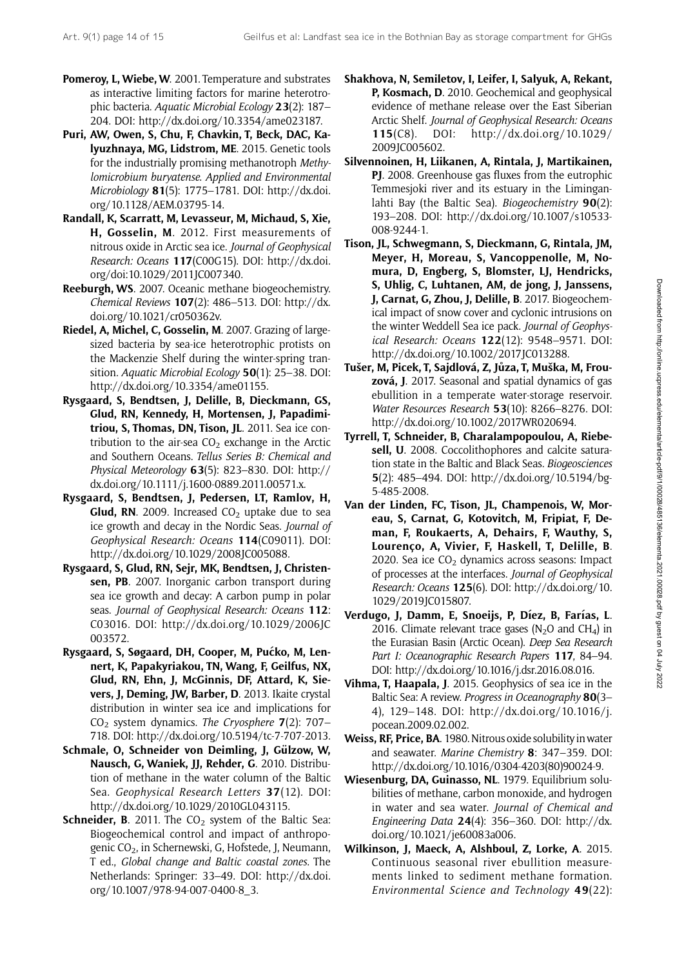- Pomeroy, L, Wiebe, W. 2001. Temperature and substrates as interactive limiting factors for marine heterotrophic bacteria. Aquatic Microbial Ecology 23(2): 187– 204. DOI: [http://dx.doi.org/10.3354/ame023187.](http://dx.doi.org/10.3354/ame023187)
- Puri, AW, Owen, S, Chu, F, Chavkin, T, Beck, DAC, Kalyuzhnaya, MG, Lidstrom, ME. 2015. Genetic tools for the industrially promising methanotroph Methylomicrobium buryatense. Applied and Environmental Microbiology 81(5): 1775–1781. DOI: [http://dx.doi.](http://dx.doi.org/10.1128/AEM.03795-14) [org/10.1128/AEM.03795-14](http://dx.doi.org/10.1128/AEM.03795-14).
- Randall, K, Scarratt, M, Levasseur, M, Michaud, S, Xie, H, Gosselin, M. 2012. First measurements of nitrous oxide in Arctic sea ice. Journal of Geophysical Research: Oceans 117(C00G15). DOI: [http://dx.doi.](http://dx.doi.org/doi:10.1029/2011JC007340) [org/doi:10.1029/2011JC007340.](http://dx.doi.org/doi:10.1029/2011JC007340)
- Reeburgh, WS. 2007. Oceanic methane biogeochemistry. Chemical Reviews 107(2): 486–513. DOI: [http://dx.](http://dx.doi.org/10.1021/cr050362v) [doi.org/10.1021/cr050362v.](http://dx.doi.org/10.1021/cr050362v)
- Riedel, A, Michel, C, Gosselin, M. 2007. Grazing of largesized bacteria by sea-ice heterotrophic protists on the Mackenzie Shelf during the winter-spring transition. Aquatic Microbial Ecology 50(1): 25–38. DOI: [http://dx.doi.org/10.3354/ame01155.](http://dx.doi.org/10.3354/ame01155)
- Rysgaard, S, Bendtsen, J, Delille, B, Dieckmann, GS, Glud, RN, Kennedy, H, Mortensen, J, Papadimitriou, S, Thomas, DN, Tison, JL. 2011. Sea ice contribution to the air-sea  $CO<sub>2</sub>$  exchange in the Arctic and Southern Oceans. Tellus Series B: Chemical and Physical Meteorology 63(5): 823–830. DOI: [http://](http://dx.doi.org/10.1111/j.1600-0889.2011.00571.x) [dx.doi.org/10.1111/j.1600-0889.2011.00571.x](http://dx.doi.org/10.1111/j.1600-0889.2011.00571.x).
- Rysgaard, S, Bendtsen, J, Pedersen, LT, Ramlov, H, **Glud, RN**. 2009. Increased  $CO<sub>2</sub>$  uptake due to sea ice growth and decay in the Nordic Seas. Journal of Geophysical Research: Oceans 114(C09011). DOI: <http://dx.doi.org/10.1029/2008JC005088>.
- Rysgaard, S, Glud, RN, Sejr, MK, Bendtsen, J, Christensen, PB. 2007. Inorganic carbon transport during sea ice growth and decay: A carbon pump in polar seas. Journal of Geophysical Research: Oceans 112: C03016. DOI: [http://dx.doi.org/10.1029/2006JC](http://dx.doi.org/10.1029/2006JC003572) [003572](http://dx.doi.org/10.1029/2006JC003572).
- Rysgaard, S, Søgaard, DH, Cooper, M, Pućko, M, Lennert, K, Papakyriakou, TN, Wang, F, Geilfus, NX, Glud, RN, Ehn, J, McGinnis, DF, Attard, K, Sievers, J, Deming, JW, Barber, D. 2013. Ikaite crystal distribution in winter sea ice and implications for  $CO<sub>2</sub>$  system dynamics. The Cryosphere **7**(2): 707– 718. DOI: [http://dx.doi.org/10.5194/tc-7-707-2013.](http://dx.doi.org/10.5194/tc-7-707-2013)
- Schmale, O, Schneider von Deimling, J, Gülzow, W, Nausch, G, Waniek, JJ, Rehder, G. 2010. Distribution of methane in the water column of the Baltic Sea. Geophysical Research Letters 37(12). DOI: [http://dx.doi.org/10.1029/2010GL043115.](http://dx.doi.org/10.1029/2010GL043115)
- **Schneider, B.** 2011. The  $CO<sub>2</sub>$  system of the Baltic Sea: Biogeochemical control and impact of anthropogenic  $CO<sub>2</sub>$ , in Schernewski, G, Hofstede, J, Neumann, T ed., Global change and Baltic coastal zones. The Netherlands: Springer: 33–49. DOI: [http://dx.doi.](http://dx.doi.org/10.1007/978-94-007-0400-8_3) [org/10.1007/978-94-007-0400-8\\_3.](http://dx.doi.org/10.1007/978-94-007-0400-8_3)
- Shakhova, N, Semiletov, I, Leifer, I, Salyuk, A, Rekant, P, Kosmach, D. 2010. Geochemical and geophysical evidence of methane release over the East Siberian Arctic Shelf. Journal of Geophysical Research: Oceans 115(C8). DOI: [http://dx.doi.org/10.1029/](http://dx.doi.org/10.1029/2009JC005602) [2009JC005602](http://dx.doi.org/10.1029/2009JC005602).
- Silvennoinen, H, Liikanen, A, Rintala, J, Martikainen, PJ. 2008. Greenhouse gas fluxes from the eutrophic Temmesjoki river and its estuary in the Liminganlahti Bay (the Baltic Sea). *Biogeochemistry*  $90(2)$ : 193–208. DOI: [http://dx.doi.org/10.1007/s10533-](http://dx.doi.org/10.1007/s10533-008-9244-1) [008-9244-1.](http://dx.doi.org/10.1007/s10533-008-9244-1)
- Tison, JL, Schwegmann, S, Dieckmann, G, Rintala, JM, Meyer, H, Moreau, S, Vancoppenolle, M, Nomura, D, Engberg, S, Blomster, LJ, Hendricks, S, Uhlig, C, Luhtanen, AM, de jong, J, Janssens, J, Carnat, G, Zhou, J, Delille, B. 2017. Biogeochemical impact of snow cover and cyclonic intrusions on the winter Weddell Sea ice pack. Journal of Geophysical Research: Oceans 122(12): 9548–9571. DOI: [http://dx.doi.org/10.1002/2017JC013288.](http://dx.doi.org/10.1002/2017JC013288)
- Tušer, M, Picek, T, Sajdlová, Z, Jůza, T, Muška, M, Frouzová, J. 2017. Seasonal and spatial dynamics of gas ebullition in a temperate water-storage reservoir. Water Resources Research 53(10): 8266–8276. DOI: [http://dx.doi.org/10.1002/2017WR020694.](http://dx.doi.org/10.1002/2017WR020694)
- Tyrrell, T, Schneider, B, Charalampopoulou, A, Riebesell, U. 2008. Coccolithophores and calcite saturation state in the Baltic and Black Seas. Biogeosciences 5(2): 485–494. DOI: [http://dx.doi.org/10.5194/bg-](http://dx.doi.org/10.5194/bg-5-485-2008)[5-485-2008](http://dx.doi.org/10.5194/bg-5-485-2008).
- Van der Linden, FC, Tison, JL, Champenois, W, Moreau, S, Carnat, G, Kotovitch, M, Fripiat, F, Deman, F, Roukaerts, A, Dehairs, F, Wauthy, S, Lourenço, A, Vivier, F, Haskell, T, Delille, B. 2020. Sea ice  $CO<sub>2</sub>$  dynamics across seasons: Impact of processes at the interfaces. Journal of Geophysical Research: Oceans 125(6). DOI: [http://dx.doi.org/10.](http://dx.doi.org/10.1029/2019JC015807) [1029/2019JC015807.](http://dx.doi.org/10.1029/2019JC015807)
- Verdugo, J, Damm, E, Snoeijs, P, Díez, B, Farías, L. 2016. Climate relevant trace gases ( $N_2$ O and CH<sub>4</sub>) in the Eurasian Basin (Arctic Ocean). Deep Sea Research Part I: Oceanographic Research Papers 117, 84-94. DOI: [http://dx.doi.org/10.1016/j.dsr.2016.08.016.](http://dx.doi.org/10.1016/j.dsr.2016.08.016)
- Vihma, T, Haapala, J. 2015. Geophysics of sea ice in the Baltic Sea: A review. Progress in Oceanography 80(3-4), 129–148. DOI: [http://dx.doi.org/10.1016/j.](http://dx.doi.org/10.1016/j.pocean.2009.02.002) [pocean.2009.02.002](http://dx.doi.org/10.1016/j.pocean.2009.02.002).
- Weiss, RF, Price, BA. 1980. Nitrous oxide solubility inwater and seawater. Marine Chemistry 8: 347–359. DOI: [http://dx.doi.org/10.1016/0304-4203\(80\)90024-9.](http://dx.doi.org/10.1016/0304-4203(80)90024-9)
- Wiesenburg, DA, Guinasso, NL. 1979. Equilibrium solubilities of methane, carbon monoxide, and hydrogen in water and sea water. Journal of Chemical and Engineering Data  $24(4)$ : 356-360. DOI: [http://dx.](http://dx.doi.org/10.1021/je60083a006) [doi.org/10.1021/je60083a006](http://dx.doi.org/10.1021/je60083a006).
- Wilkinson, J, Maeck, A, Alshboul, Z, Lorke, A. 2015. Continuous seasonal river ebullition measurements linked to sediment methane formation. Environmental Science and Technology 49(22):